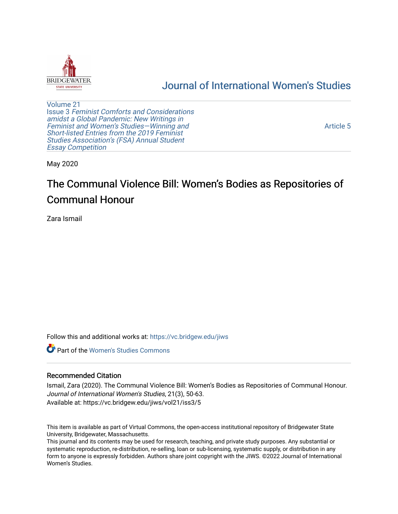

## [Journal of International Women's Studies](https://vc.bridgew.edu/jiws)

[Volume 21](https://vc.bridgew.edu/jiws/vol21) Issue 3 [Feminist Comforts and Considerations](https://vc.bridgew.edu/jiws/vol21/iss3) [amidst a Global Pandemic: New Writings in](https://vc.bridgew.edu/jiws/vol21/iss3)  [Feminist and Women's Studies—Winning and](https://vc.bridgew.edu/jiws/vol21/iss3) [Short-listed Entries from the 2019 Feminist](https://vc.bridgew.edu/jiws/vol21/iss3) [Studies Association's \(FSA\) Annual Student](https://vc.bridgew.edu/jiws/vol21/iss3) [Essay Competition](https://vc.bridgew.edu/jiws/vol21/iss3)

[Article 5](https://vc.bridgew.edu/jiws/vol21/iss3/5) 

May 2020

# The Communal Violence Bill: Women's Bodies as Repositories of Communal Honour

Zara Ismail

Follow this and additional works at: [https://vc.bridgew.edu/jiws](https://vc.bridgew.edu/jiws?utm_source=vc.bridgew.edu%2Fjiws%2Fvol21%2Fiss3%2F5&utm_medium=PDF&utm_campaign=PDFCoverPages)

**C** Part of the Women's Studies Commons

#### Recommended Citation

Ismail, Zara (2020). The Communal Violence Bill: Women's Bodies as Repositories of Communal Honour. Journal of International Women's Studies, 21(3), 50-63. Available at: https://vc.bridgew.edu/jiws/vol21/iss3/5

This item is available as part of Virtual Commons, the open-access institutional repository of Bridgewater State University, Bridgewater, Massachusetts.

This journal and its contents may be used for research, teaching, and private study purposes. Any substantial or systematic reproduction, re-distribution, re-selling, loan or sub-licensing, systematic supply, or distribution in any form to anyone is expressly forbidden. Authors share joint copyright with the JIWS. ©2022 Journal of International Women's Studies.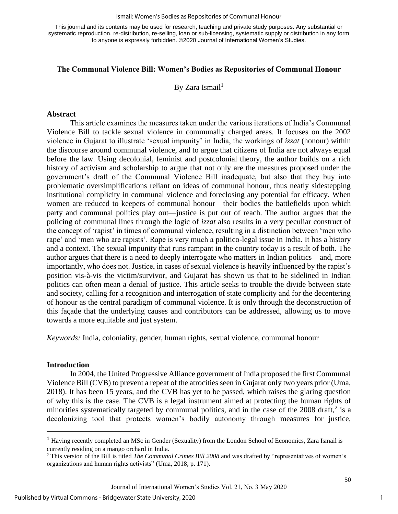#### Ismail: Women's Bodies as Repositories of Communal Honour

This journal and its contents may be used for research, teaching and private study purposes. Any substantial or systematic reproduction, re-distribution, re-selling, loan or sub-licensing, systematic supply or distribution in any form to anyone is expressly forbidden. ©2020 Journal of International Women's Studies.

#### **The Communal Violence Bill: Women's Bodies as Repositories of Communal Honour**

By Zara Ismail<sup>1</sup>

#### **Abstract**

This article examines the measures taken under the various iterations of India's Communal Violence Bill to tackle sexual violence in communally charged areas. It focuses on the 2002 violence in Gujarat to illustrate 'sexual impunity' in India, the workings of *izzat* (honour) within the discourse around communal violence, and to argue that citizens of India are not always equal before the law. Using decolonial, feminist and postcolonial theory, the author builds on a rich history of activism and scholarship to argue that not only are the measures proposed under the government's draft of the Communal Violence Bill inadequate, but also that they buy into problematic oversimplifications reliant on ideas of communal honour, thus neatly sidestepping institutional complicity in communal violence and foreclosing any potential for efficacy. When women are reduced to keepers of communal honour—their bodies the battlefields upon which party and communal politics play out—justice is put out of reach. The author argues that the policing of communal lines through the logic of *izzat* also results in a very peculiar construct of the concept of 'rapist' in times of communal violence, resulting in a distinction between 'men who rape' and 'men who are rapists'. Rape is very much a politico-legal issue in India. It has a history and a context. The sexual impunity that runs rampant in the country today is a result of both. The author argues that there is a need to deeply interrogate who matters in Indian politics—and, more importantly, who does not. Justice, in cases of sexual violence is heavily influenced by the rapist's position vis-à-vis the victim/survivor, and Gujarat has shown us that to be sidelined in Indian politics can often mean a denial of justice. This article seeks to trouble the divide between state and society, calling for a recognition and interrogation of state complicity and for the decentering of honour as the central paradigm of communal violence. It is only through the deconstruction of this façade that the underlying causes and contributors can be addressed, allowing us to move towards a more equitable and just system.

*Keywords:* India, coloniality, gender, human rights, sexual violence, communal honour

#### **Introduction**

In 2004, the United Progressive Alliance government of India proposed the first Communal Violence Bill (CVB) to prevent a repeat of the atrocities seen in Gujarat only two years prior (Uma, 2018). It has been 15 years, and the CVB has yet to be passed, which raises the glaring question of why this is the case. The CVB is a legal instrument aimed at protecting the human rights of minorities systematically targeted by communal politics, and in the case of the  $2008$  draft,<sup>2</sup> is a decolonizing tool that protects women's bodily autonomy through measures for justice,

<sup>1</sup> Having recently completed an MSc in Gender (Sexuality) from the London School of Economics, Zara Ismail is currently residing on a mango orchard in India.

<sup>2</sup> This version of the Bill is titled *The Communal Crimes Bill 2008* and was drafted by "representatives of women's organizations and human rights activists" (Uma, 2018, p. 171).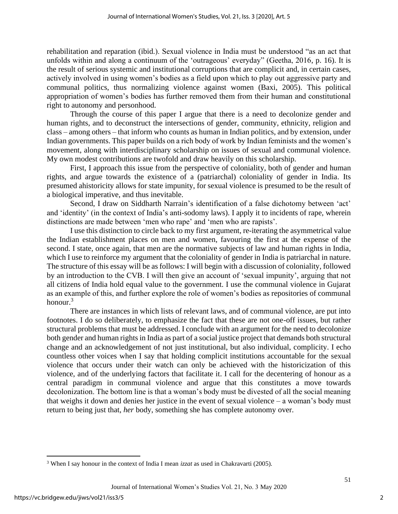rehabilitation and reparation (ibid.). Sexual violence in India must be understood "as an act that unfolds within and along a continuum of the 'outrageous' everyday" (Geetha, 2016, p. 16). It is the result of serious systemic and institutional corruptions that are complicit and, in certain cases, actively involved in using women's bodies as a field upon which to play out aggressive party and communal politics, thus normalizing violence against women (Baxi, 2005). This political appropriation of women's bodies has further removed them from their human and constitutional right to autonomy and personhood.

Through the course of this paper I argue that there is a need to decolonize gender and human rights, and to deconstruct the intersections of gender, community, ethnicity, religion and class – among others – that inform who counts as human in Indian politics, and by extension, under Indian governments. This paper builds on a rich body of work by Indian feminists and the women's movement, along with interdisciplinary scholarship on issues of sexual and communal violence. My own modest contributions are twofold and draw heavily on this scholarship.

First, I approach this issue from the perspective of coloniality, both of gender and human rights, and argue towards the existence of a (patriarchal) coloniality of gender in India. Its presumed ahistoricity allows for state impunity, for sexual violence is presumed to be the result of a biological imperative, and thus inevitable.

Second, I draw on Siddharth Narrain's identification of a false dichotomy between 'act' and 'identity' (in the context of India's anti-sodomy laws). I apply it to incidents of rape, wherein distinctions are made between 'men who rape' and 'men who are rapists'.

I use this distinction to circle back to my first argument, re-iterating the asymmetrical value the Indian establishment places on men and women, favouring the first at the expense of the second. I state, once again, that men are the normative subjects of law and human rights in India, which I use to reinforce my argument that the coloniality of gender in India is patriarchal in nature. The structure of this essay will be as follows: I will begin with a discussion of coloniality, followed by an introduction to the CVB. I will then give an account of 'sexual impunity', arguing that not all citizens of India hold equal value to the government. I use the communal violence in Gujarat as an example of this, and further explore the role of women's bodies as repositories of communal honour. $3$ 

There are instances in which lists of relevant laws, and of communal violence, are put into footnotes. I do so deliberately, to emphasize the fact that these are not one-off issues, but rather structural problems that must be addressed. I conclude with an argument for the need to decolonize both gender and human rights in India as part of a social justice project that demands both structural change and an acknowledgement of not just institutional, but also individual, complicity. I echo countless other voices when I say that holding complicit institutions accountable for the sexual violence that occurs under their watch can only be achieved with the historicization of this violence, and of the underlying factors that facilitate it. I call for the decentering of honour as a central paradigm in communal violence and argue that this constitutes a move towards decolonization. The bottom line is that a woman's body must be divested of all the social meaning that weighs it down and denies her justice in the event of sexual violence – a woman's body must return to being just that, *her* body, something she has complete autonomy over.

<sup>3</sup> When I say honour in the context of India I mean *izzat* as used in Chakravarti (2005).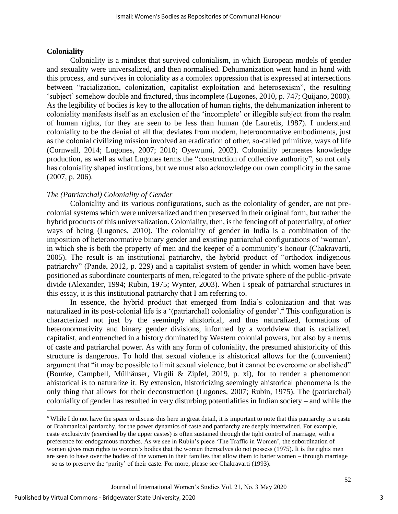#### **Coloniality**

Coloniality is a mindset that survived colonialism, in which European models of gender and sexuality were universalized, and then normalised. Dehumanization went hand in hand with this process, and survives in coloniality as a complex oppression that is expressed at intersections between "racialization, colonization, capitalist exploitation and heterosexism", the resulting 'subject' somehow double and fractured, thus incomplete (Lugones, 2010, p. 747; Quijano, 2000). As the legibility of bodies is key to the allocation of human rights, the dehumanization inherent to coloniality manifests itself as an exclusion of the 'incomplete' or illegible subject from the realm of human rights, for they are seen to be less than human (de Lauretis, 1987). I understand coloniality to be the denial of all that deviates from modern, heteronormative embodiments, just as the colonial civilizing mission involved an eradication of other, so-called primitive, ways of life (Cornwall, 2014; Lugones, 2007; 2010; Oyewumi, 2002). Coloniality permeates knowledge production, as well as what Lugones terms the "construction of collective authority", so not only has coloniality shaped institutions, but we must also acknowledge our own complicity in the same (2007, p. 206).

### *The (Patriarchal) Coloniality of Gender*

Coloniality and its various configurations, such as the coloniality of gender, are not precolonial systems which were universalized and then preserved in their original form, but rather the hybrid products of this universalization. Coloniality, then, is the fencing off of potentiality, of *other* ways of being (Lugones, 2010). The coloniality of gender in India is a combination of the imposition of heteronormative binary gender and existing patriarchal configurations of 'woman', in which she is both the property of men and the keeper of a community's honour (Chakravarti, 2005). The result is an institutional patriarchy, the hybrid product of "orthodox indigenous patriarchy" (Pande, 2012, p. 229) and a capitalist system of gender in which women have been positioned as subordinate counterparts of men, relegated to the private sphere of the public-private divide (Alexander, 1994; Rubin, 1975; Wynter, 2003). When I speak of patriarchal structures in this essay, it is this institutional patriarchy that I am referring to.

In essence, the hybrid product that emerged from India's colonization and that was naturalized in its post-colonial life is a '(patriarchal) coloniality of gender'. <sup>4</sup> This configuration is characterized not just by the seemingly ahistorical, and thus naturalized, formations of heteronormativity and binary gender divisions, informed by a worldview that is racialized, capitalist, and entrenched in a history dominated by Western colonial powers, but also by a nexus of caste and patriarchal power. As with any form of coloniality, the presumed ahistoricity of this structure is dangerous. To hold that sexual violence is ahistorical allows for the (convenient) argument that "it may be possible to limit sexual violence, but it cannot be overcome or abolished" (Bourke, Campbell, Mülhäuser, Virgili & Zipfel, 2019, p. xi), for to render a phenomenon ahistorical is to naturalize it. By extension, historicizing seemingly ahistorical phenomena is the only thing that allows for their deconstruction (Lugones, 2007; Rubin, 1975). The (patriarchal) coloniality of gender has resulted in very disturbing potentialities in Indian society – and while the

<sup>4</sup> While I do not have the space to discuss this here in great detail, it is important to note that this patriarchy is a caste or Brahmanical patriarchy, for the power dynamics of caste and patriarchy are deeply intertwined. For example, caste exclusivity (exercised by the upper castes) is often sustained through the tight control of marriage, with a preference for endogamous matches. As we see in Rubin's piece 'The Traffic in Women', the subordination of women gives men rights to women's bodies that the women themselves do not possess (1975). It is the rights men are seen to have over the bodies of the women in their families that allow them to barter women – through marriage – so as to preserve the 'purity' of their caste. For more, please see Chakravarti (1993).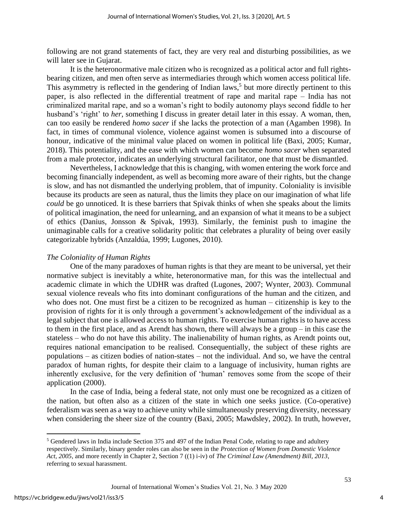following are not grand statements of fact, they are very real and disturbing possibilities, as we will later see in Gujarat.

It is the heteronormative male citizen who is recognized as a political actor and full rightsbearing citizen, and men often serve as intermediaries through which women access political life. This asymmetry is reflected in the gendering of Indian laws,<sup>5</sup> but more directly pertinent to this paper, is also reflected in the differential treatment of rape and marital rape – India has not criminalized marital rape, and so a woman's right to bodily autonomy plays second fiddle to her husband's 'right' to *her,* something I discuss in greater detail later in this essay*.* A woman, then, can too easily be rendered *homo sacer* if she lacks the protection of a man (Agamben 1998). In fact, in times of communal violence, violence against women is subsumed into a discourse of honour, indicative of the minimal value placed on women in political life (Baxi, 2005; Kumar, 2018). This potentiality, and the ease with which women can become *homo sacer* when separated from a male protector, indicates an underlying structural facilitator, one that must be dismantled.

Nevertheless, I acknowledge that this is changing, with women entering the work force and becoming financially independent, as well as becoming more aware of their rights, but the change is slow, and has not dismantled the underlying problem, that of impunity. Coloniality is invisible because its products are seen as natural, thus the limits they place on our imagination of what life *could* be go unnoticed. It is these barriers that Spivak thinks of when she speaks about the limits of political imagination, the need for unlearning, and an expansion of what it means to be a subject of ethics (Danius, Jonsson & Spivak, 1993). Similarly, the feminist push to imagine the unimaginable calls for a creative solidarity politic that celebrates a plurality of being over easily categorizable hybrids (Anzaldúa, 1999; Lugones, 2010).

#### *The Coloniality of Human Rights*

One of the many paradoxes of human rights is that they are meant to be universal, yet their normative subject is inevitably a white, heteronormative man, for this was the intellectual and academic climate in which the UDHR was drafted (Lugones, 2007; Wynter, 2003). Communal sexual violence reveals who fits into dominant configurations of the human and the citizen, and who does not. One must first be a citizen to be recognized as human – citizenship is key to the provision of rights for it is only through a government's acknowledgement of the individual as a legal subject that one is allowed access to human rights. To exercise human rights is to have access to them in the first place, and as Arendt has shown, there will always be a group – in this case the stateless – who do not have this ability. The inalienability of human rights, as Arendt points out, requires national emancipation to be realised. Consequentially, the subject of these rights are populations – as citizen bodies of nation-states – not the individual. And so, we have the central paradox of human rights, for despite their claim to a language of inclusivity, human rights are inherently exclusive, for the very definition of 'human' removes some from the scope of their application (2000).

In the case of India, being a federal state, not only must one be recognized as a citizen of the nation, but often also as a citizen of the state in which one seeks justice. (Co-operative) federalism was seen as a way to achieve unity while simultaneously preserving diversity, necessary when considering the sheer size of the country (Baxi, 2005; Mawdsley, 2002). In truth, however,

<sup>&</sup>lt;sup>5</sup> Gendered laws in India include Section 375 and 497 of the Indian Penal Code, relating to rape and adultery respectively. Similarly, binary gender roles can also be seen in the *Protection of Women from Domestic Violence Act, 2005*, and more recently in Chapter 2, Section 7 ((1) i-iv) of *The Criminal Law (Amendment) Bill, 2013*, referring to sexual harassment.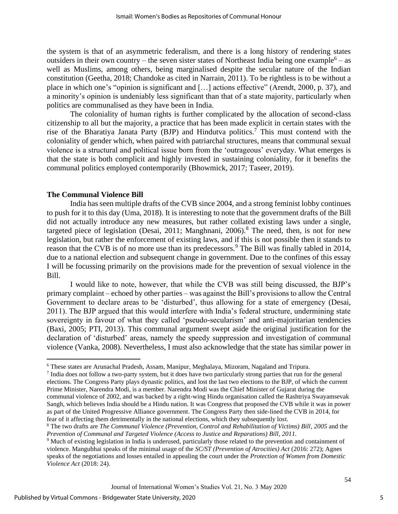the system is that of an asymmetric federalism, and there is a long history of rendering states outsiders in their own country – the seven sister states of Northeast India being one example<sup>6</sup> – as well as Muslims, among others, being marginalised despite the secular nature of the Indian constitution (Geetha, 2018; Chandoke as cited in Narrain, 2011). To be rightless is to be without a place in which one's "opinion is significant and […] actions effective" (Arendt, 2000, p. 37), and a minority's opinion is undeniably less significant than that of a state majority, particularly when politics are communalised as they have been in India.

The coloniality of human rights is further complicated by the allocation of second-class citizenship to all but the majority, a practice that has been made explicit in certain states with the rise of the Bharatiya Janata Party (BJP) and Hindutva politics.<sup>7</sup> This must contend with the coloniality of gender which, when paired with patriarchal structures, means that communal sexual violence is a structural and political issue born from the 'outrageous' everyday. What emerges is that the state is both complicit and highly invested in sustaining coloniality, for it benefits the communal politics employed contemporarily (Bhowmick, 2017; Taseer, 2019).

#### **The Communal Violence Bill**

India has seen multiple drafts of the CVB since 2004, and a strong feminist lobby continues to push for it to this day (Uma, 2018). It is interesting to note that the government drafts of the Bill did not actually introduce any new measures, but rather collated existing laws under a single, targeted piece of legislation (Desai, 2011; Manghnani, 2006).<sup>8</sup> The need, then, is not for new legislation, but rather the enforcement of existing laws, and if this is not possible then it stands to reason that the CVB is of no more use than its predecessors.<sup>9</sup> The Bill was finally tabled in 2014, due to a national election and subsequent change in government. Due to the confines of this essay I will be focussing primarily on the provisions made for the prevention of sexual violence in the Bill.

I would like to note, however, that while the CVB was still being discussed, the BJP's primary complaint – echoed by other parties – was against the Bill's provisions to allow the Central Government to declare areas to be 'disturbed', thus allowing for a state of emergency (Desai, 2011). The BJP argued that this would interfere with India's federal structure, undermining state sovereignty in favour of what they called 'pseudo-secularism' and anti-majoritarian tendencies (Baxi, 2005; PTI, 2013). This communal argument swept aside the original justification for the declaration of 'disturbed' areas, namely the speedy suppression and investigation of communal violence (Vanka, 2008). Nevertheless, I must also acknowledge that the state has similar power in

<sup>6</sup> These states are Arunachal Pradesh, Assam, Manipur, Meghalaya, Mizoram, Nagaland and Tripura.

<sup>&</sup>lt;sup>7</sup> India does not follow a two-party system, but it does have two particularly strong parties that run for the general elections. The Congress Party plays dynastic politics, and lost the last two elections to the BJP, of which the current Prime Minister, Narendra Modi, is a member. Narendra Modi was the Chief Minister of Gujarat during the communal violence of 2002, and was backed by a right-wing Hindu organisation called the Rashtriya Swayamsevak Sangh, which believes India should be a Hindu nation. It was Congress that proposed the CVB while it was in power as part of the United Progressive Alliance government. The Congress Party then side-lined the CVB in 2014, for fear of it affecting them detrimentally in the national elections, which they subsequently lost.

<sup>8</sup> The two drafts are *The Communal Violence (Prevention, Control and Rehabilitation of Victims) Bill, 2005* and the *Prevention of Communal and Targeted Violence (Access to Justice and Reparations) Bill, 2011.* 

<sup>9</sup> Much of existing legislation in India is underused, particularly those related to the prevention and containment of violence. Mangubhai speaks of the minimal usage of the *SC/ST (Prevention of Atrocities) Act* (2016: 272); Agnes speaks of the negotiations and losses entailed in appealing the court under the *Protection of Women from Domestic Violence Act* (2018: 24).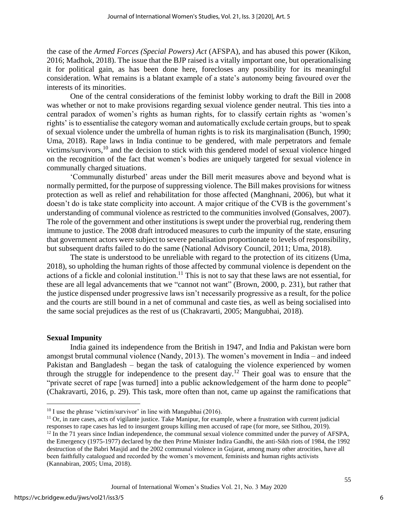the case of the *Armed Forces (Special Powers) Act* (AFSPA)*,* and has abused this power (Kikon, 2016; Madhok, 2018). The issue that the BJP raised is a vitally important one, but operationalising it for political gain, as has been done here, forecloses any possibility for its meaningful consideration. What remains is a blatant example of a state's autonomy being favoured over the interests of its minorities.

One of the central considerations of the feminist lobby working to draft the Bill in 2008 was whether or not to make provisions regarding sexual violence gender neutral. This ties into a central paradox of women's rights as human rights, for to classify certain rights as 'women's rights' is to essentialise the category woman and automatically exclude certain groups, but to speak of sexual violence under the umbrella of human rights is to risk its marginalisation (Bunch, 1990; Uma, 2018). Rape laws in India continue to be gendered, with male perpetrators and female victims/survivors,<sup>10</sup> and the decision to stick with this gendered model of sexual violence hinged on the recognition of the fact that women's bodies are uniquely targeted for sexual violence in communally charged situations.

'Communally disturbed' areas under the Bill merit measures above and beyond what is normally permitted, for the purpose of suppressing violence. The Bill makes provisions for witness protection as well as relief and rehabilitation for those affected (Manghnani, 2006), but what it doesn't do is take state complicity into account. A major critique of the CVB is the government's understanding of communal violence as restricted to the communities involved (Gonsalves, 2007). The role of the government and other institutions is swept under the proverbial rug, rendering them immune to justice. The 2008 draft introduced measures to curb the impunity of the state, ensuring that government actors were subject to severe penalisation proportionate to levels of responsibility, but subsequent drafts failed to do the same (National Advisory Council, 2011; Uma, 2018).

The state is understood to be unreliable with regard to the protection of its citizens (Uma, 2018), so upholding the human rights of those affected by communal violence is dependent on the actions of a fickle and colonial institution.<sup>11</sup> This is not to say that these laws are not essential, for these are all legal advancements that we "cannot not want" (Brown, 2000, p. 231), but rather that the justice dispensed under progressive laws isn't necessarily progressive as a result, for the police and the courts are still bound in a net of communal and caste ties, as well as being socialised into the same social prejudices as the rest of us (Chakravarti, 2005; Mangubhai, 2018).

#### **Sexual Impunity**

India gained its independence from the British in 1947, and India and Pakistan were born amongst brutal communal violence (Nandy, 2013). The women's movement in India – and indeed Pakistan and Bangladesh – began the task of cataloguing the violence experienced by women through the struggle for independence to the present day.<sup>12</sup> Their goal was to ensure that the "private secret of rape [was turned] into a public acknowledgement of the harm done to people" (Chakravarti, 2016, p. 29). This task, more often than not, came up against the ramifications that

 $11$  Or, in rare cases, acts of vigilante justice. Take Manipur, for example, where a frustration with current judicial responses to rape cases has led to insurgent groups killing men accused of rape (for more, see Sitlhou, 2019).

 $10$  I use the phrase 'victim/survivor' in line with Mangubhai (2016).

 $12$  In the 71 years since Indian independence, the communal sexual violence committed under the purvey of AFSPA, the Emergency (1975-1977) declared by the then Prime Minister Indira Gandhi, the anti-Sikh riots of 1984, the 1992 destruction of the Babri Masjid and the 2002 communal violence in Gujarat, among many other atrocities, have all been faithfully catalogued and recorded by the women's movement, feminists and human rights activists (Kannabiran, 2005; Uma, 2018).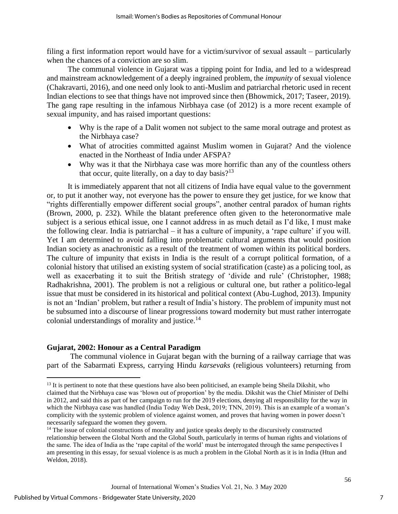filing a first information report would have for a victim/survivor of sexual assault – particularly when the chances of a conviction are so slim.

The communal violence in Gujarat was a tipping point for India, and led to a widespread and mainstream acknowledgement of a deeply ingrained problem, the *impunity* of sexual violence (Chakravarti, 2016), and one need only look to anti-Muslim and patriarchal rhetoric used in recent Indian elections to see that things have not improved since then (Bhowmick, 2017; Taseer, 2019). The gang rape resulting in the infamous Nirbhaya case (of 2012) is a more recent example of sexual impunity, and has raised important questions:

- Why is the rape of a Dalit women not subject to the same moral outrage and protest as the Nirbhaya case?
- What of atrocities committed against Muslim women in Gujarat? And the violence enacted in the Northeast of India under AFSPA?
- Why was it that the Nirbhaya case was more horrific than any of the countless others that occur, quite literally, on a day to day basis? $13$

It is immediately apparent that not all citizens of India have equal value to the government or, to put it another way, not everyone has the power to ensure they get justice, for we know that "rights differentially empower different social groups", another central paradox of human rights (Brown, 2000, p. 232). While the blatant preference often given to the heteronormative male subject is a serious ethical issue, one I cannot address in as much detail as I'd like, I must make the following clear. India is patriarchal – it has a culture of impunity, a 'rape culture' if you will. Yet I am determined to avoid falling into problematic cultural arguments that would position Indian society as anachronistic as a result of the treatment of women within its political borders. The culture of impunity that exists in India is the result of a corrupt political formation, of a colonial history that utilised an existing system of social stratification (caste) as a policing tool, as well as exacerbating it to suit the British strategy of 'divide and rule' (Christopher, 1988; Radhakrishna, 2001). The problem is not a religious or cultural one, but rather a politico-legal issue that must be considered in its historical and political context (Abu-Lughod, 2013). Impunity is not an 'Indian' problem, but rather a result of India's history. The problem of impunity must not be subsumed into a discourse of linear progressions toward modernity but must rather interrogate colonial understandings of morality and justice.<sup>14</sup>

#### **Gujarat, 2002: Honour as a Central Paradigm**

The communal violence in Gujarat began with the burning of a railway carriage that was part of the Sabarmati Express, carrying Hindu *karsevaks* (religious volunteers) returning from

<sup>&</sup>lt;sup>13</sup> It is pertinent to note that these questions have also been politicised, an example being Sheila Dikshit, who claimed that the Nirbhaya case was 'blown out of proportion' by the media. Dikshit was the Chief Minister of Delhi in 2012, and said this as part of her campaign to run for the 2019 elections, denying all responsibility for the way in which the Nirbhaya case was handled (India Today Web Desk, 2019; TNN, 2019). This is an example of a woman's complicity with the systemic problem of violence against women, and proves that having women in power doesn't necessarily safeguard the women they govern.

<sup>&</sup>lt;sup>14</sup> The issue of colonial constructions of morality and justice speaks deeply to the discursively constructed relationship between the Global North and the Global South, particularly in terms of human rights and violations of the same. The idea of India as the 'rape capital of the world' must be interrogated through the same perspectives I am presenting in this essay, for sexual violence is as much a problem in the Global North as it is in India (Htun and Weldon, 2018).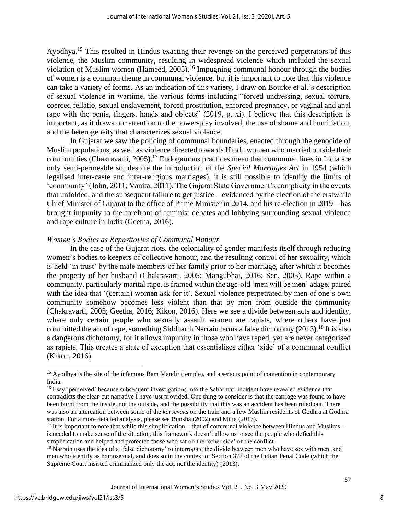Ayodhya.<sup>15</sup> This resulted in Hindus exacting their revenge on the perceived perpetrators of this violence, the Muslim community, resulting in widespread violence which included the sexual violation of Muslim women (Hameed, 2005).<sup>16</sup> Impugning communal honour through the bodies of women is a common theme in communal violence, but it is important to note that this violence can take a variety of forms. As an indication of this variety, I draw on Bourke et al.'s description of sexual violence in wartime, the various forms including "forced undressing, sexual torture, coerced fellatio, sexual enslavement, forced prostitution, enforced pregnancy, or vaginal and anal rape with the penis, fingers, hands and objects" (2019, p. xi). I believe that this description is important, as it draws our attention to the power-play involved, the use of shame and humiliation, and the heterogeneity that characterizes sexual violence.

In Gujarat we saw the policing of communal boundaries, enacted through the genocide of Muslim populations, as well as violence directed towards Hindu women who married outside their communities (Chakravarti, 2005).<sup>17</sup> Endogamous practices mean that communal lines in India are only semi-permeable so, despite the introduction of the *Special Marriages Act* in 1954 (which legalised inter-caste and inter-religious marriages), it is still possible to identify the limits of 'community' (John, 2011; Vanita, 2011). The Gujarat State Government's complicity in the events that unfolded, and the subsequent failure to get justice – evidenced by the election of the erstwhile Chief Minister of Gujarat to the office of Prime Minister in 2014, and his re-election in 2019 – has brought impunity to the forefront of feminist debates and lobbying surrounding sexual violence and rape culture in India (Geetha, 2016).

#### *Women's Bodies as Repositories of Communal Honour*

In the case of the Gujarat riots, the coloniality of gender manifests itself through reducing women's bodies to keepers of collective honour, and the resulting control of her sexuality, which is held 'in trust' by the male members of her family prior to her marriage, after which it becomes the property of her husband (Chakravarti, 2005; Mangubhai, 2016; Sen, 2005). Rape within a community, particularly marital rape, is framed within the age-old 'men will be men' adage, paired with the idea that '(certain) women ask for it'. Sexual violence perpetrated by men of one's own community somehow becomes less violent than that by men from outside the community (Chakravarti, 2005; Geetha, 2016; Kikon, 2016). Here we see a divide between acts and identity, where only certain people who sexually assault women are rapists, where others have just committed the act of rape, something Siddharth Narrain terms a false dichotomy (2013).<sup>18</sup> It is also a dangerous dichotomy, for it allows impunity in those who have raped, yet are never categorised as rapists. This creates a state of exception that essentialises either 'side' of a communal conflict (Kikon, 2016).

8

<sup>15</sup> Ayodhya is the site of the infamous Ram Mandir (temple), and a serious point of contention in contemporary India.

<sup>&</sup>lt;sup>16</sup> I say 'perceived' because subsequent investigations into the Sabarmati incident have revealed evidence that contradicts the clear-cut narrative I have just provided. One thing to consider is that the carriage was found to have been burnt from the inside, not the outside, and the possibility that this was an accident has been ruled out. There was also an altercation between some of the *karsevaks* on the train and a few Muslim residents of Godhra at Godhra station. For a more detailed analysis, please see Bunsha (2002) and Mitta (2017).

 $17$  It is important to note that while this simplification – that of communal violence between Hindus and Muslims – is needed to make sense of the situation, this framework doesn't allow us to see the people who defied this simplification and helped and protected those who sat on the 'other side' of the conflict.

<sup>&</sup>lt;sup>18</sup> Narrain uses the idea of a 'false dichotomy' to interrogate the divide between men who have sex with men, and men who identify as homosexual, and does so in the context of Section 377 of the Indian Penal Code (which the Supreme Court insisted criminalized only the act, not the identity) (2013).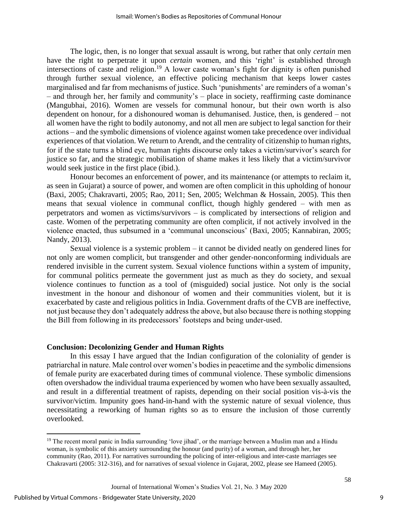The logic, then, is no longer that sexual assault is wrong, but rather that only *certain* men have the right to perpetrate it upon *certain* women, and this 'right' is established through intersections of caste and religion.<sup>19</sup> A lower caste woman's fight for dignity is often punished through further sexual violence, an effective policing mechanism that keeps lower castes marginalised and far from mechanisms of justice. Such 'punishments' are reminders of a woman's – and through her, her family and community's – place in society, reaffirming caste dominance (Mangubhai, 2016). Women are vessels for communal honour, but their own worth is also dependent on honour, for a dishonoured woman is dehumanised. Justice, then, is gendered – not all women have the right to bodily autonomy, and not all men are subject to legal sanction for their actions – and the symbolic dimensions of violence against women take precedence over individual experiences of that violation. We return to Arendt, and the centrality of citizenship to human rights, for if the state turns a blind eye, human rights discourse only takes a victim/survivor's search for justice so far, and the strategic mobilisation of shame makes it less likely that a victim/survivor would seek justice in the first place (ibid.).

Honour becomes an enforcement of power, and its maintenance (or attempts to reclaim it, as seen in Gujarat) a source of power, and women are often complicit in this upholding of honour (Baxi, 2005; Chakravarti, 2005; Rao, 2011; Sen, 2005; Welchman & Hossain, 2005). This then means that sexual violence in communal conflict, though highly gendered – with men as perpetrators and women as victims/survivors – is complicated by intersections of religion and caste. Women of the perpetrating community are often complicit, if not actively involved in the violence enacted, thus subsumed in a 'communal unconscious' (Baxi, 2005; Kannabiran, 2005; Nandy, 2013).

Sexual violence is a systemic problem – it cannot be divided neatly on gendered lines for not only are women complicit, but transgender and other gender-nonconforming individuals are rendered invisible in the current system. Sexual violence functions within a system of impunity, for communal politics permeate the government just as much as they do society, and sexual violence continues to function as a tool of (misguided) social justice. Not only is the social investment in the honour and dishonour of women and their communities violent, but it is exacerbated by caste and religious politics in India. Government drafts of the CVB are ineffective, not just because they don't adequately address the above, but also because there is nothing stopping the Bill from following in its predecessors' footsteps and being under-used.

#### **Conclusion: Decolonizing Gender and Human Rights**

In this essay I have argued that the Indian configuration of the coloniality of gender is patriarchal in nature. Male control over women's bodies in peacetime and the symbolic dimensions of female purity are exacerbated during times of communal violence. These symbolic dimensions often overshadow the individual trauma experienced by women who have been sexually assaulted, and result in a differential treatment of rapists, depending on their social position vis-à-vis the survivor/victim. Impunity goes hand-in-hand with the systemic nature of sexual violence, thus necessitating a reworking of human rights so as to ensure the inclusion of those currently overlooked.

<sup>&</sup>lt;sup>19</sup> The recent moral panic in India surrounding 'love jihad', or the marriage between a Muslim man and a Hindu woman, is symbolic of this anxiety surrounding the honour (and purity) of a woman, and through her, her community (Rao, 2011). For narratives surrounding the policing of inter-religious and inter-caste marriages see Chakravarti (2005: 312-316), and for narratives of sexual violence in Gujarat, 2002, please see Hameed (2005).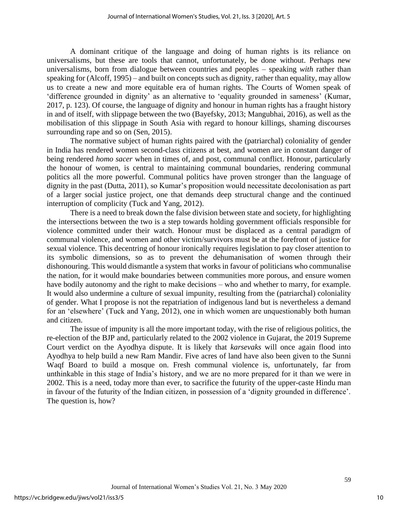A dominant critique of the language and doing of human rights is its reliance on universalisms, but these are tools that cannot, unfortunately, be done without. Perhaps new universalisms, born from dialogue between countries and peoples – speaking *with* rather than speaking for (Alcoff, 1995) – and built on concepts such as dignity, rather than equality, may allow us to create a new and more equitable era of human rights. The Courts of Women speak of 'difference grounded in dignity' as an alternative to 'equality grounded in sameness' (Kumar, 2017, p. 123). Of course, the language of dignity and honour in human rights has a fraught history in and of itself, with slippage between the two (Bayefsky, 2013; Mangubhai, 2016), as well as the mobilisation of this slippage in South Asia with regard to honour killings, shaming discourses surrounding rape and so on (Sen, 2015).

The normative subject of human rights paired with the (patriarchal) coloniality of gender in India has rendered women second-class citizens at best, and women are in constant danger of being rendered *homo sacer* when in times of, and post, communal conflict. Honour, particularly the honour of women, is central to maintaining communal boundaries, rendering communal politics all the more powerful. Communal politics have proven stronger than the language of dignity in the past (Dutta, 2011), so Kumar's proposition would necessitate decolonisation as part of a larger social justice project, one that demands deep structural change and the continued interruption of complicity (Tuck and Yang, 2012).

There is a need to break down the false division between state and society, for highlighting the intersections between the two is a step towards holding government officials responsible for violence committed under their watch. Honour must be displaced as a central paradigm of communal violence, and women and other victim/survivors must be at the forefront of justice for sexual violence. This decentring of honour ironically requires legislation to pay closer attention to its symbolic dimensions, so as to prevent the dehumanisation of women through their dishonouring. This would dismantle a system that works in favour of politicians who communalise the nation, for it would make boundaries between communities more porous, and ensure women have bodily autonomy and the right to make decisions – who and whether to marry, for example. It would also undermine a culture of sexual impunity, resulting from the (patriarchal) coloniality of gender. What I propose is not the repatriation of indigenous land but is nevertheless a demand for an 'elsewhere' (Tuck and Yang, 2012), one in which women are unquestionably both human and citizen.

The issue of impunity is all the more important today, with the rise of religious politics, the re-election of the BJP and, particularly related to the 2002 violence in Gujarat, the 2019 Supreme Court verdict on the Ayodhya dispute. It is likely that *karsevaks* will once again flood into Ayodhya to help build a new Ram Mandir. Five acres of land have also been given to the Sunni Waqf Board to build a mosque on. Fresh communal violence is, unfortunately, far from unthinkable in this stage of India's history, and we are no more prepared for it than we were in 2002. This is a need, today more than ever, to sacrifice the futurity of the upper-caste Hindu man in favour of the futurity of the Indian citizen, in possession of a 'dignity grounded in difference'. The question is, how?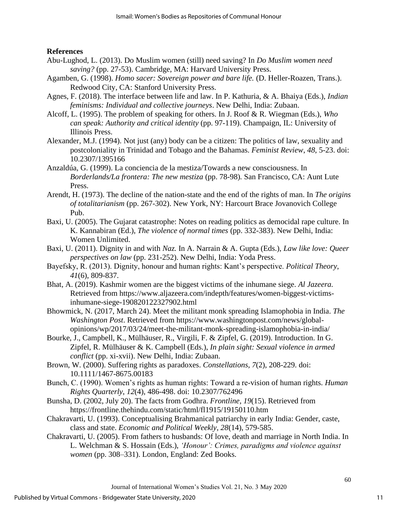## **References**

- Abu-Lughod, L. (2013). Do Muslim women (still) need saving? In *Do Muslim women need saving?* (pp. 27-53). Cambridge, MA: Harvard University Press.
- Agamben, G. (1998). *Homo sacer: Sovereign power and bare life.* (D. Heller-Roazen, Trans.). Redwood City, CA: Stanford University Press.
- Agnes, F. (2018). The interface between life and law. In P. Kathuria, & A. Bhaiya (Eds.), *Indian feminisms: Individual and collective journeys*. New Delhi, India: Zubaan.
- Alcoff, L. (1995). The problem of speaking for others. In J. Roof & R. Wiegman (Eds.), *Who can speak: Authority and critical identity* (pp. 97-119). Champaign, IL: University of Illinois Press.
- Alexander, M.J. (1994). Not just (any) body can be a citizen: The politics of law, sexuality and postcoloniality in Trinidad and Tobago and the Bahamas. *Feminist Review*, *48*, 5-23. doi: 10.2307/1395166
- Anzaldúa, G. (1999). La conciencia de la mestiza/Towards a new consciousness. In *Borderlands/La frontera: The new mestiza* (pp. 78-98)*.* San Francisco, CA: Aunt Lute Press.
- Arendt, H. (1973). The decline of the nation-state and the end of the rights of man. In *The origins of totalitarianism* (pp. 267-302). New York, NY: Harcourt Brace Jovanovich College Pub.
- Baxi, U. (2005). The Gujarat catastrophe: Notes on reading politics as democidal rape culture. In K. Kannabiran (Ed.), *The violence of normal times* (pp. 332-383). New Delhi, India: Women Unlimited.
- Baxi, U. (2011). Dignity in and with *Naz.* In A. Narrain & A. Gupta (Eds.), *Law like love: Queer perspectives on law* (pp. 231-252). New Delhi, India: Yoda Press.
- Bayefsky, R. (2013). Dignity, honour and human rights: Kant's perspective. *Political Theory*, *41*(6), 809-837.
- Bhat, A. (2019). Kashmir women are the biggest victims of the inhumane siege. *Al Jazeera.*  Retrieved from https://www.aljazeera.com/indepth/features/women-biggest-victimsinhumane-siege-190820122327902.html
- Bhowmick, N. (2017, March 24). Meet the militant monk spreading Islamophobia in India. *The Washington Post*. Retrieved from https://www.washingtonpost.com/news/globalopinions/wp/2017/03/24/meet-the-militant-monk-spreading-islamophobia-in-india/
- Bourke, J., Campbell, K., Mülhäuser, R., Virgili, F. & Zipfel, G. (2019). Introduction. In G. Zipfel, R. Mülhäuser & K. Campbell (Eds.), *In plain sight: Sexual violence in armed conflict* (pp. xi-xvii). New Delhi, India: Zubaan.
- Brown, W. (2000). Suffering rights as paradoxes. *Constellations, 7*(2), 208-229. doi: 10.1111/1467-8675.00183
- Bunch, C. (1990). Women's rights as human rights: Toward a re-vision of human rights. *Human Rights Quarterly*, *12*(4), 486-498. doi: 10.2307/762496
- Bunsha, D. (2002, July 20). The facts from Godhra. *Frontline, 19*(15). Retrieved from https://frontline.thehindu.com/static/html/fl1915/19150110.htm
- Chakravarti, U. (1993). Conceptualising Brahmanical patriarchy in early India: Gender, caste, class and state. *Economic and Political Weekly, 28*(14), 579-585.
- Chakravarti, U. (2005). From fathers to husbands: Of love, death and marriage in North India. In L. Welchman & S. Hossain (Eds.), *'Honour': Crimes, paradigms and violence against women* (pp. 308–331). London, England: Zed Books.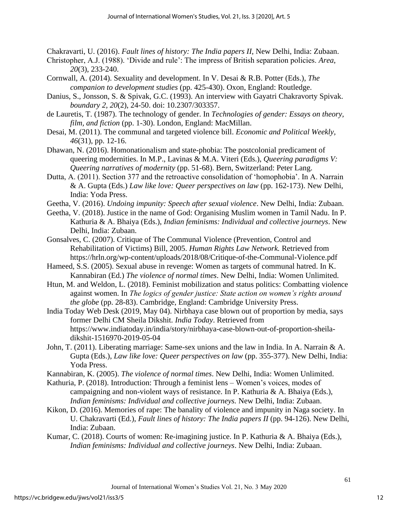Chakravarti, U. (2016). *Fault lines of history: The India papers II*, New Delhi, India: Zubaan.

- Christopher, A.J. (1988). 'Divide and rule': The impress of British separation policies. *Area*, *20*(3), 233-240.
- Cornwall, A. (2014). Sexuality and development. In V. Desai & R.B. Potter (Eds.), *The companion to development studies* (pp. 425-430). Oxon, England: Routledge.
- Danius, S., Jonsson, S. & Spivak, G.C. (1993). An interview with Gayatri Chakravorty Spivak. *boundary 2, 20*(2), 24-50. doi: 10.2307/303357.
- de Lauretis, T. (1987). The technology of gender. In *Technologies of gender: Essays on theory, film, and fiction* (pp. 1-30). London, England: MacMillan.
- Desai, M. (2011). The communal and targeted violence bill. *Economic and Political Weekly, 46*(31), pp. 12-16.
- Dhawan, N. (2016). Homonationalism and state-phobia: The postcolonial predicament of queering modernities. In M.P., Lavinas & M.A. Viteri (Eds.), *Queering paradigms V: Queering narratives of modernity* (pp. 51-68). Bern, Switzerland: Peter Lang.
- Dutta, A. (2011). Section 377 and the retroactive consolidation of 'homophobia'. In A. Narrain & A. Gupta (Eds.) *Law like love: Queer perspectives on law* (pp. 162-173). New Delhi, India: Yoda Press.
- Geetha, V. (2016). *Undoing impunity: Speech after sexual violence*. New Delhi, India: Zubaan.
- Geetha, V. (2018). Justice in the name of God: Organising Muslim women in Tamil Nadu. In P. Kathuria & A. Bhaiya (Eds.), *Indian feminisms: Individual and collective journeys*. New Delhi, India: Zubaan.
- Gonsalves, C. (2007). Critique of The Communal Violence (Prevention, Control and Rehabilitation of Victims) Bill, 2005. *Human Rights Law Network.* Retrieved from https://hrln.org/wp-content/uploads/2018/08/Critique-of-the-Communal-Violence.pdf
- Hameed, S.S. (2005). Sexual abuse in revenge: Women as targets of communal hatred. In K. Kannabiran (Ed.) *The violence of normal times*. New Delhi, India: Women Unlimited.
- Htun, M. and Weldon, L. (2018). Feminist mobilization and status politics: Combatting violence against women. In *The logics of gender justice: State action on women's rights around the globe* (pp. 28-83). Cambridge, England: Cambridge University Press.
- India Today Web Desk (2019, May 04). Nirbhaya case blown out of proportion by media, says former Delhi CM Sheila Dikshit. *India Today*. Retrieved from https://www.indiatoday.in/india/story/nirbhaya-case-blown-out-of-proportion-sheiladikshit-1516970-2019-05-04
- John, T. (2011). Liberating marriage: Same-sex unions and the law in India. In A. Narrain & A. Gupta (Eds.), *Law like love: Queer perspectives on law* (pp. 355-377). New Delhi, India: Yoda Press.
- Kannabiran, K. (2005). *The violence of normal times*. New Delhi, India: Women Unlimited.
- Kathuria, P. (2018). Introduction: Through a feminist lens Women's voices, modes of campaigning and non-violent ways of resistance. In P. Kathuria & A. Bhaiya (Eds.), *Indian feminisms: Individual and collective journeys.* New Delhi, India: Zubaan.
- Kikon, D. (2016). Memories of rape: The banality of violence and impunity in Naga society. In U. Chakravarti (Ed.), *Fault lines of history: The India papers II* (pp. 94-126). New Delhi, India: Zubaan.
- Kumar, C. (2018). Courts of women: Re-imagining justice. In P. Kathuria & A. Bhaiya (Eds.), *Indian feminisms: Individual and collective journeys*. New Delhi, India: Zubaan.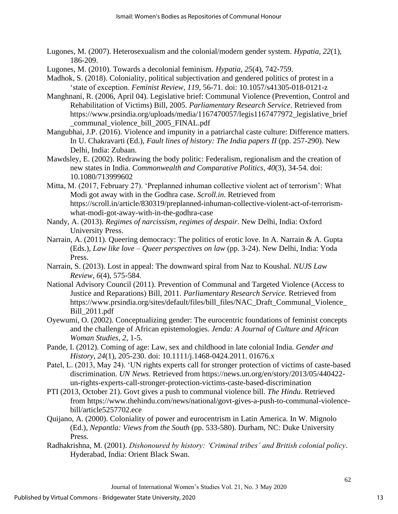- Lugones, M. (2007). Heterosexualism and the colonial/modern gender system. *Hypatia*, *22*(1), 186-209.
- Lugones, M. (2010). Towards a decolonial feminism. *Hypatia*, *25*(4), 742-759.
- Madhok, S. (2018). Coloniality, political subjectivation and gendered politics of protest in a 'state of exception. *Feminist Review*, *119*, 56-71. doi: 10.1057/s41305-018-0121-z
- Manghnani, R. (2006, April 04). Legislative brief: Communal Violence (Prevention, Control and Rehabilitation of Victims) Bill, 2005. *Parliamentary Research Service*. Retrieved from https://www.prsindia.org/uploads/media/1167470057/legis1167477972\_legislative\_brief \_communal\_violence\_bill\_2005\_FINAL.pdf
- Mangubhai, J.P. (2016). Violence and impunity in a patriarchal caste culture: Difference matters. In U. Chakravarti (Ed.), *Fault lines of history: The India papers II* (pp. 257-290). New Delhi, India: Zubaan.
- Mawdsley, E. (2002). Redrawing the body politic: Federalism, regionalism and the creation of new states in India. *Commonwealth and Comparative Politics*, *40*(3), 34-54. doi: 10.1080/713999602
- Mitta, M. (2017, February 27). 'Preplanned inhuman collective violent act of terrorism': What Modi got away with in the Godhra case. *Scroll.in.* Retrieved from https://scroll.in/article/830319/preplanned-inhuman-collective-violent-act-of-terrorismwhat-modi-got-away-with-in-the-godhra-case
- Nandy, A. (2013). *Regimes of narcissism, regimes of despair*. New Delhi, India: Oxford University Press.
- Narrain, A. (2011). Queering democracy: The politics of erotic love. In A. Narrain & A. Gupta (Eds.), *Law like love – Queer perspectives on law* (pp. 3-24). New Delhi, India: Yoda Press.
- Narrain, S. (2013). Lost in appeal: The downward spiral from Naz to Koushal. *NUJS Law Review, 6*(4), 575-584.
- National Advisory Council (2011). Prevention of Communal and Targeted Violence (Access to Justice and Reparations) Bill, 2011. *Parliamentary Research Service.* Retrieved from https://www.prsindia.org/sites/default/files/bill\_files/NAC\_Draft\_Communal\_Violence\_ Bill\_2011.pdf
- Oyewumi, O. (2002). Conceptualizing gender: The eurocentric foundations of feminist concepts and the challenge of African epistemologies. *Jenda: A Journal of Culture and African Woman Studies*, *2*, 1-5.
- Pande, I. (2012). Coming of age: Law, sex and childhood in late colonial India. *Gender and History*, *24*(1), 205-230. doi: 10.1111/j.1468-0424.2011. 01676.x
- Patel, L. (2013, May 24). 'UN rights experts call for stronger protection of victims of caste-based discrimination. *UN News*. Retrieved from https://news.un.org/en/story/2013/05/440422 un-rights-experts-call-stronger-protection-victims-caste-based-discrimination
- PTI (2013, October 21). Govt gives a push to communal violence bill. *The Hindu*. Retrieved from https://www.thehindu.com/news/national/govt-gives-a-push-to-communal-violencebill/article5257702.ece
- Quijano, A. (2000). Coloniality of power and eurocentrism in Latin America. In W. Mignolo (Ed.), *Nepantla: Views from the South* (pp. 533-580). Durham, NC: Duke University Press.
- Radhakrishna, M. (2001). *Dishonoured by history: 'Criminal tribes' and British colonial policy*. Hyderabad, India: Orient Black Swan.